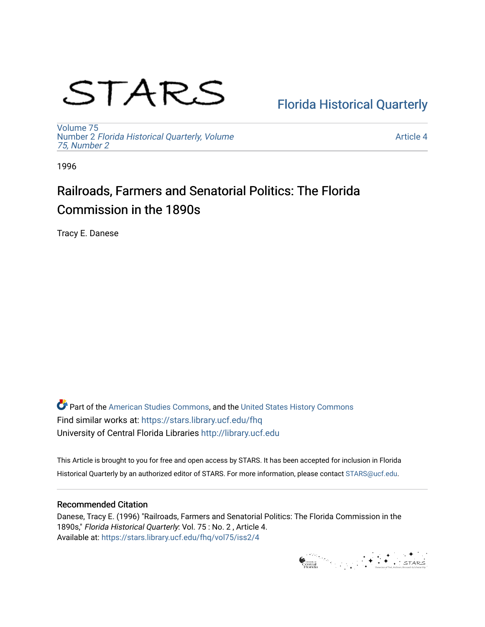# STARS

## [Florida Historical Quarterly](https://stars.library.ucf.edu/fhq)

[Volume 75](https://stars.library.ucf.edu/fhq/vol75) Number 2 [Florida Historical Quarterly, Volume](https://stars.library.ucf.edu/fhq/vol75/iss2)  [75, Number 2](https://stars.library.ucf.edu/fhq/vol75/iss2)

[Article 4](https://stars.library.ucf.edu/fhq/vol75/iss2/4) 

1996

# Railroads, Farmers and Senatorial Politics: The Florida Commission in the 1890s

Tracy E. Danese

**C** Part of the [American Studies Commons](http://network.bepress.com/hgg/discipline/439?utm_source=stars.library.ucf.edu%2Ffhq%2Fvol75%2Fiss2%2F4&utm_medium=PDF&utm_campaign=PDFCoverPages), and the United States History Commons Find similar works at: <https://stars.library.ucf.edu/fhq> University of Central Florida Libraries [http://library.ucf.edu](http://library.ucf.edu/) 

This Article is brought to you for free and open access by STARS. It has been accepted for inclusion in Florida Historical Quarterly by an authorized editor of STARS. For more information, please contact [STARS@ucf.edu.](mailto:STARS@ucf.edu)

### Recommended Citation

Danese, Tracy E. (1996) "Railroads, Farmers and Senatorial Politics: The Florida Commission in the 1890s," Florida Historical Quarterly: Vol. 75 : No. 2 , Article 4. Available at: [https://stars.library.ucf.edu/fhq/vol75/iss2/4](https://stars.library.ucf.edu/fhq/vol75/iss2/4?utm_source=stars.library.ucf.edu%2Ffhq%2Fvol75%2Fiss2%2F4&utm_medium=PDF&utm_campaign=PDFCoverPages) 

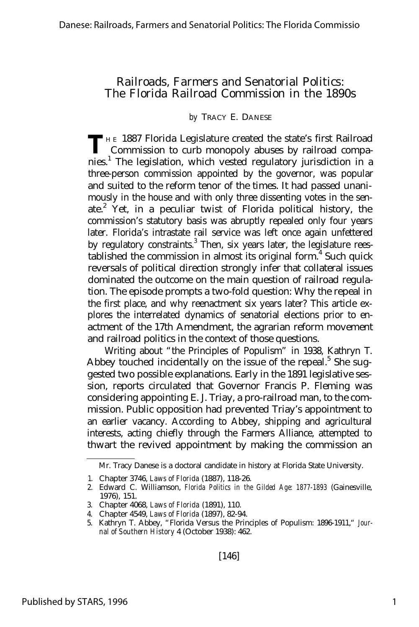## Railroads, Farmers and Senatorial Politics: The Florida Railroad Commission in the 1890s

#### *by* TRACY E. DANESE

THE 1887 Florida Legislature created the state's first Railroad Commission to curb monopoly abuses by railroad compa-Commission to curb monopoly abuses by railroad companies.<sup>1</sup> The legislation, which vested regulatory jurisdiction in a three-person commission appointed by the governor, was popular and suited to the reform tenor of the times. It had passed unanimously in the house and with only three dissenting votes in the senate.<sup>2</sup> Yet, in a peculiar twist of Florida political history, the commission's statutory basis was abruptly repealed only four years later. Florida's intrastate rail service was left once again unfettered by regulatory constraints.<sup>3</sup> Then, six years later, the legislature reestablished the commission in almost its original form.<sup>4</sup> Such quick reversals of political direction strongly infer that collateral issues dominated the outcome on the main question of railroad regulation. The episode prompts a two-fold question: Why the repeal in the first place, and why reenactment six years later? This article explores the interrelated dynamics of senatorial elections prior to enactment of the 17th Amendment, the agrarian reform movement and railroad politics in the context of those questions.

Writing about "the Principles of Populism" in 1938, Kathryn T. Abbey touched incidentally on the issue of the repeal.<sup>5</sup> She suggested two possible explanations. Early in the 1891 legislative session, reports circulated that Governor Francis P. Fleming was considering appointing E. J. Triay, a pro-railroad man, to the commission. Public opposition had prevented Triay's appointment to an earlier vacancy. According to Abbey, shipping and agricultural interests, acting chiefly through the Farmers Alliance, attempted to thwart the revived appointment by making the commission an

Mr. Tracy Danese is a doctoral candidate in history at Florida State University.

<sup>1.</sup> Chapter 3746, *Laws of Florida* (1887), 118-26.

<sup>2.</sup> Edward C. Williamson, *Florida Politics in the Gilded Age: 1877-1893* (Gainesville, 1976), 151.

<sup>3.</sup> Chapter 4068, *Laws of Florida* (1891), 110.

<sup>4.</sup> Chapter 4549, *Laws of Florida* (1897), 82-94.

<sup>5.</sup> Kathryn T. Abbey, "Florida Versus the Principles of Populism: 1896-1911," *Journal of Southern History* 4 (October 1938): 462.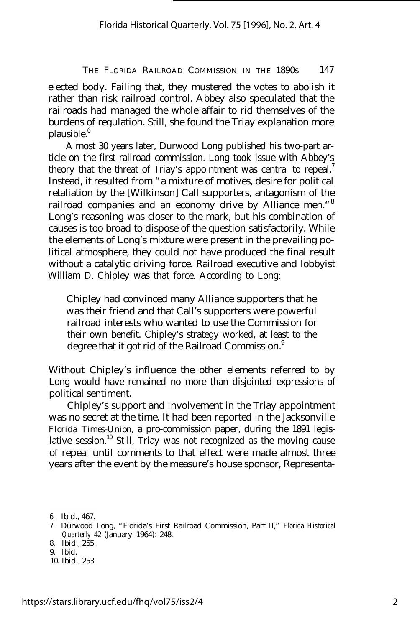elected body. Failing that, they mustered the votes to abolish it rather than risk railroad control. Abbey also speculated that the railroads had managed the whole affair to rid themselves of the burdens of regulation. Still, she found the Triay explanation more plausible.<sup>6</sup>

Almost 30 years later, Durwood Long published his two-part article on the first railroad commission. Long took issue with Abbey's theory that the threat of Triay's appointment was central to repeal.<sup>7</sup> Instead, it resulted from "a mixture of motives, desire for political retaliation by the [Wilkinson] Call supporters, antagonism of the railroad companies and an economy drive by Alliance men."<sup>8</sup> Long's reasoning was closer to the mark, but his combination of causes is too broad to dispose of the question satisfactorily. While the elements of Long's mixture were present in the prevailing political atmosphere, they could not have produced the final result without a catalytic driving force. Railroad executive and lobbyist William D. Chipley was that force. According to Long:

Chipley had convinced many Alliance supporters that he was their friend and that Call's supporters were powerful railroad interests who wanted to use the Commission for their own benefit. Chipley's strategy worked, at least to the degree that it got rid of the Railroad Commission.<sup>9</sup>

Without Chipley's influence the other elements referred to by Long would have remained no more than disjointed expressions of political sentiment.

Chipley's support and involvement in the Triay appointment was no secret at the time. It had been reported in the Jacksonville *Florida Times-Union,* a pro-commission paper, during the 1891 legislative session.<sup>10</sup> Still, Triay was not recognized as the moving cause of repeal until comments to that effect were made almost three years after the event by the measure's house sponsor, Representa-

<sup>6.</sup> Ibid., 467.

<sup>7.</sup> Durwood Long, "Florida's First Railroad Commission, Part II," *Florida Historical Quarterly* 42 (January 1964): 248.

<sup>8.</sup> Ibid., 255.

<sup>9.</sup> Ibid.

<sup>10.</sup> Ibid., 253.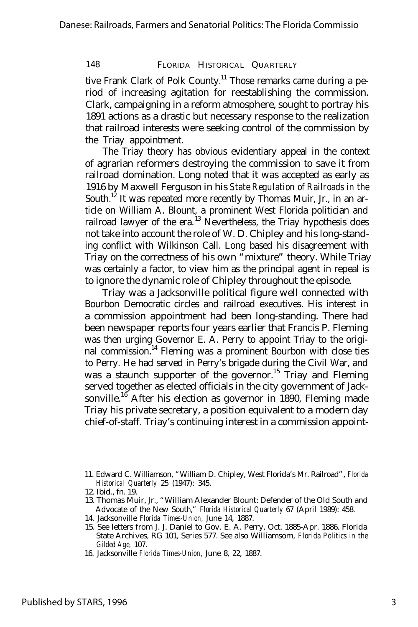tive Frank Clark of Polk County.<sup>11</sup> Those remarks came during a period of increasing agitation for reestablishing the commission. Clark, campaigning in a reform atmosphere, sought to portray his 1891 actions as a drastic but necessary response to the realization that railroad interests were seeking control of the commission by the Triay appointment.

The Triay theory has obvious evidentiary appeal in the context of agrarian reformers destroying the commission to save it from railroad domination. Long noted that it was accepted as early as 1916 by Maxwell Ferguson in his *State Regulation of Railroads in the* South.<sup>12</sup> It was repeated more recently by Thomas Muir, Jr., in an article on William A. Blount, a prominent West Florida politician and railroad lawyer of the era. $^{13}$  Nevertheless, the Triay hypothesis does not take into account the role of W. D. Chipley and his long-standing conflict with Wilkinson Call. Long based his disagreement with Triay on the correctness of his own "mixture" theory. While Triay was certainly a factor, to view him as the principal agent in repeal is to ignore the dynamic role of Chipley throughout the episode.

Triay was a Jacksonville political figure well connected with Bourbon Democratic circles and railroad executives. His interest in a commission appointment had been long-standing. There had been newspaper reports four years earlier that Francis P. Fleming was then urging Governor E. A. Perry to appoint Triay to the original commission.<sup>14</sup> Fleming was a prominent Bourbon with close ties to Perry. He had served in Perry's brigade during the Civil War, and was a staunch supporter of the governor.<sup>15</sup> Triay and Fleming served together as elected officials in the city government of Jacksonville.<sup>16</sup> After his election as governor in 1890, Fleming made Triay his private secretary, a position equivalent to a modern day chief-of-staff. Triay's continuing interest in a commission appoint-

<sup>11.</sup> Edward C. Williamson, "William D. Chipley, West Florida's Mr. Railroad", *Florida Historical Quarterly* 25 (1947): 345.

<sup>12.</sup> Ibid., fn. 19.

<sup>13.</sup> Thomas Muir, Jr., "William Alexander Blount: Defender of the Old South and Advocate of the New South," *Florida Historical Quarterly* 67 (April 1989): 458.

<sup>14.</sup> Jacksonville *Florida Times-Union,* June 14, 1887.

<sup>15.</sup> See letters from J. J. Daniel to Gov. E. A. Perry, Oct. 1885-Apr. 1886. Florida State Archives, RG 101, Series 577. See also Williamsom, *Florida Politics in the Gilded Age,* 107.

<sup>16.</sup> Jacksonville *Florida Times-Union,* June 8, 22, 1887.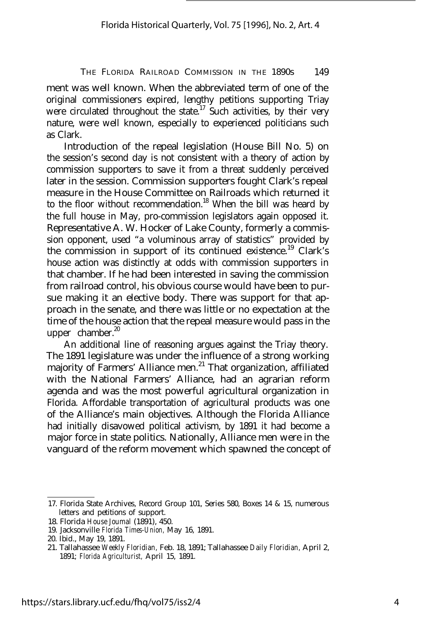ment was well known. When the abbreviated term of one of the original commissioners expired, lengthy petitions supporting Triay were circulated throughout the state.<sup>17</sup> Such activities, by their very nature, were well known, especially to experienced politicians such as Clark.

Introduction of the repeal legislation (House Bill No. 5) on the session's second day is not consistent with a theory of action by commission supporters to save it from a threat suddenly perceived later in the session. Commission supporters fought Clark's repeal measure in the House Committee on Railroads which returned it to the floor without recommendation.<sup>18</sup> When the bill was heard by the full house in May, pro-commission legislators again opposed it. Representative A. W. Hocker of Lake County, formerly a commission opponent, used "a voluminous array of statistics" provided by the commission in support of its continued existence.<sup>19</sup> Clark's house action was distinctly at odds with commission supporters in that chamber. If he had been interested in saving the commission from railroad control, his obvious course would have been to pursue making it an elective body. There was support for that approach in the senate, and there was little or no expectation at the time of the house action that the repeal measure would pass in the upper chamber. $^{20}$ 

An additional line of reasoning argues against the Triay theory. The 1891 legislature was under the influence of a strong working majority of Farmers' Alliance men.<sup>21</sup> That organization, affiliated with the National Farmers' Alliance, had an agrarian reform agenda and was the most powerful agricultural organization in Florida. Affordable transportation of agricultural products was one of the Alliance's main objectives. Although the Florida Alliance had initially disavowed political activism, by 1891 it had become a major force in state politics. Nationally, Alliance men were in the vanguard of the reform movement which spawned the concept of

<sup>17.</sup> Florida State Archives, Record Group 101, Series 580, Boxes 14 & 15, numerous letters and petitions of support.

<sup>18.</sup> Florida *House Joumal* (1891), 450.

<sup>19.</sup> Jacksonville *Florida Times-Union,* May 16, 1891.

<sup>20.</sup> Ibid., May 19, 1891.

<sup>21.</sup> Tallahassee *Weekly Floridian,* Feb. 18, 1891; Tallahassee *Daily Floridian,* April 2, 1891; *Florida Agriculturist,* April 15, 1891.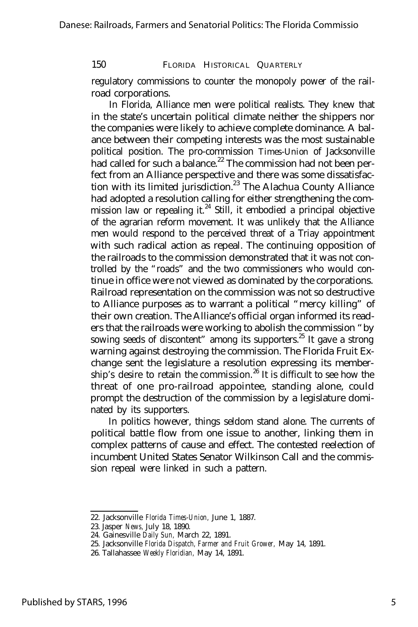regulatory commissions to counter the monopoly power of the railroad corporations.

In Florida, Alliance men were political realists. They knew that in the state's uncertain political climate neither the shippers nor the companies were likely to achieve complete dominance. A balance between their competing interests was the most sustainable political position. The pro-commission *Times-Union* of Jacksonville had called for such a balance.<sup>22</sup> The commission had not been perfect from an Alliance perspective and there was some dissatisfaction with its limited jurisdiction.<sup>23</sup> The Alachua County Alliance had adopted a resolution calling for either strengthening the commission law or repealing it. $^{24}$  Still, it embodied a principal objective of the agrarian reform movement. It was unlikely that the Alliance men would respond to the perceived threat of a Triay appointment with such radical action as repeal. The continuing opposition of the railroads to the commission demonstrated that it was not controlled by the "roads" and the two commissioners who would continue in office were not viewed as dominated by the corporations. Railroad representation on the commission was not so destructive to Alliance purposes as to warrant a political "mercy killing" of their own creation. The Alliance's official organ informed its readers that the railroads were working to abolish the commission "by sowing seeds of discontent" among its supporters.<sup>25</sup> It gave a strong warning against destroying the commission. The Florida Fruit Exchange sent the legislature a resolution expressing its membership's desire to retain the commission.<sup>26</sup> It is difficult to see how the threat of one pro-railroad appointee, standing alone, could prompt the destruction of the commission by a legislature dominated by its supporters.

In politics however, things seldom stand alone. The currents of political battle flow from one issue to another, linking them in complex patterns of cause and effect. The contested reelection of incumbent United States Senator Wilkinson Call and the commission repeal were linked in such a pattern.

<sup>22.</sup> Jacksonville *Florida Times-Union,* June 1, 1887.

<sup>23.</sup> Jasper *News,* July 18, 1890.

<sup>24.</sup> Gainesville *Daily Sun,* March 22, 1891.

<sup>25.</sup> Jacksonville *Florida Dispatch, Farmer and Fruit Grower,* May 14, 1891.

<sup>26.</sup> Tallahassee *Weekly Floridian,* May 14, 1891.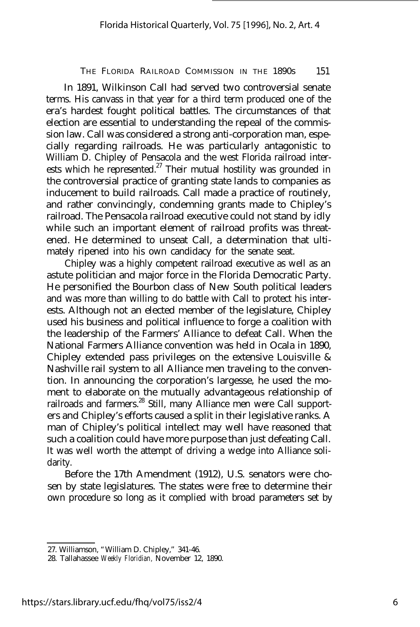In 1891, Wilkinson Call had served two controversial senate terms. His canvass in that year for a third term produced one of the era's hardest fought political battles. The circumstances of that election are essential to understanding the repeal of the commission law. Call was considered a strong anti-corporation man, especially regarding railroads. He was particularly antagonistic to William D. Chipley of Pensacola and the west Florida railroad interests which he represented.<sup>27</sup> Their mutual hostility was grounded in the controversial practice of granting state lands to companies as inducement to build railroads. Call made a practice of routinely, and rather convincingly, condemning grants made to Chipley's railroad. The Pensacola railroad executive could not stand by idly while such an important element of railroad profits was threatened. He determined to unseat Call, a determination that ultimately ripened into his own candidacy for the senate seat.

Chipley was a highly competent railroad executive as well as an astute politician and major force in the Florida Democratic Party. He personified the Bourbon class of New South political leaders and was more than willing to do battle with Call to protect his interests. Although not an elected member of the legislature, Chipley used his business and political influence to forge a coalition with the leadership of the Farmers' Alliance to defeat Call. When the National Farmers Alliance convention was held in Ocala in 1890, Chipley extended pass privileges on the extensive Louisville & Nashville rail system to all Alliance men traveling to the convention. In announcing the corporation's largesse, he used the moment to elaborate on the mutually advantageous relationship of railroads and farmers.<sup>28</sup> Still, many Alliance men were Call supporters and Chipley's efforts caused a split in their legislative ranks. A man of Chipley's political intellect may well have reasoned that such a coalition could have more purpose than just defeating Call. It was well worth the attempt of driving a wedge into Alliance solidarity.

Before the 17th Amendment (1912), U.S. senators were chosen by state legislatures. The states were free to determine their own procedure so long as it complied with broad parameters set by

<sup>27.</sup> Williamson, "William D. Chipley," 341-46.

<sup>28.</sup> Tallahassee *Weekly Floridian,* November 12, 1890.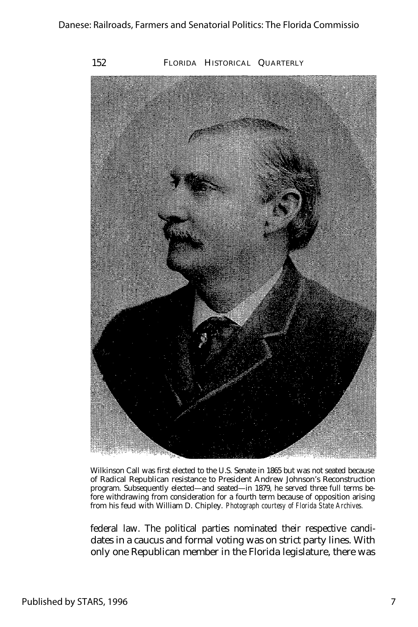

Wilkinson Call was first elected to the U.S. Senate in 1865 but was not seated because of Radical Republican resistance to President Andrew Johnson's Reconstruction program. Subsequently elected— and seated— in 1879, he served three full terms before withdrawing from consideration for a fourth term because of opposition arising from his feud with William D. Chipley. *Photograph courtesy of Florida State Archives.*

federal law. The political parties nominated their respective candidates in a caucus and formal voting was on strict party lines. With only one Republican member in the Florida legislature, there was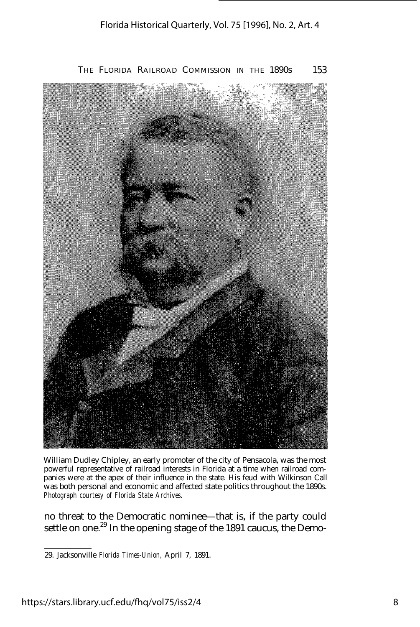

William Dudley Chipley, an early promoter of the city of Pensacola, was the most powerful representative of railroad interests in Florida at a time when railroad companies were at the apex of their influence in the state. His feud with Wilkinson Call was both personal and economic and affected state politics throughout the 1890s. *Photograph courtesy of Florida State Archives.*

no threat to the Democratic nominee— that is, if the party could settle on one.<sup>29</sup> In the opening stage of the 1891 caucus, the Demo-

<sup>29.</sup> Jacksonville *Florida Times-Union,* April 7, 1891.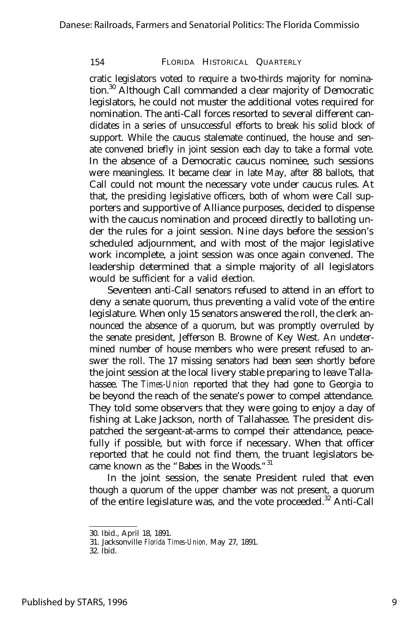cratic legislators voted to require a two-thirds majority for nomination.<sup>30</sup> Although Call commanded a clear majority of Democratic legislators, he could not muster the additional votes required for nomination. The anti-Call forces resorted to several different candidates in a series of unsuccessful efforts to break his solid block of support. While the caucus stalemate continued, the house and senate convened briefly in joint session each day to take a formal vote. In the absence of a Democratic caucus nominee, such sessions were meaningless. It became clear in late May, after 88 ballots, that Call could not mount the necessary vote under caucus rules. At that, the presiding legislative officers, both of whom were Call supporters and supportive of Alliance purposes, decided to dispense with the caucus nomination and proceed directly to balloting under the rules for a joint session. Nine days before the session's scheduled adjournment, and with most of the major legislative work incomplete, a joint session was once again convened. The leadership determined that a simple majority of all legislators would be sufficient for a valid election.

Seventeen anti-Call senators refused to attend in an effort to deny a senate quorum, thus preventing a valid vote of the entire legislature. When only 15 senators answered the roll, the clerk announced the absence of a quorum, but was promptly overruled by the senate president, Jefferson B. Browne of Key West. An undetermined number of house members who were present refused to answer the roll. The 17 missing senators had been seen shortly before the joint session at the local livery stable preparing to leave Tallahassee. The *Times-Union* reported that they had gone to Georgia to be beyond the reach of the senate's power to compel attendance. They told some observers that they were going to enjoy a day of fishing at Lake Jackson, north of Tallahassee. The president dispatched the sergeant-at-arms to compel their attendance, peacefully if possible, but with force if necessary. When that officer reported that he could not find them, the truant legislators became known as the "Babes in the Woods. "31

In the joint session, the senate President ruled that even though a quorum of the upper chamber was not present, a quorum of the entire legislature was, and the vote proceeded.<sup>32</sup> Anti-Call

<sup>30.</sup> Ibid., April 18, 1891.

<sup>31.</sup> Jacksonville *Florida Times-Union,* May 27, 1891.

<sup>32.</sup> Ibid.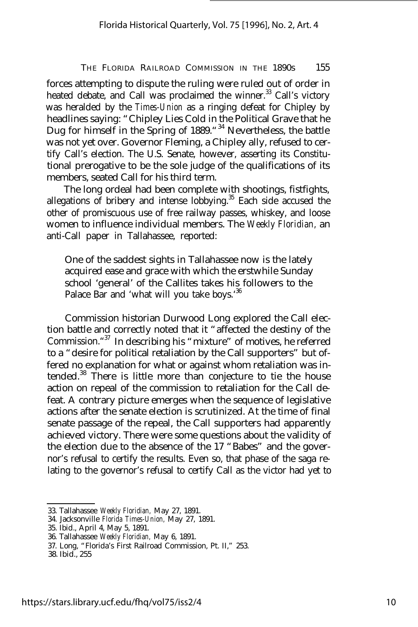forces attempting to dispute the ruling were ruled out of order in heated debate, and Call was proclaimed the winner.<sup>33</sup> Call's victory was heralded by the *Times-Union* as a ringing defeat for Chipley by headlines saying: "Chipley Lies Cold in the Political Grave that he Dug for himself in the Spring of 1889.<sup>434</sup> Nevertheless, the battle was not yet over. Governor Fleming, a Chipley ally, refused to certify Call's election. The U.S. Senate, however, asserting its Constitutional prerogative to be the sole judge of the qualifications of its members, seated Call for his third term.

The long ordeal had been complete with shootings, fistfights, allegations of bribery and intense lobbying.<sup>35</sup> Each side accused the other of promiscuous use of free railway passes, whiskey, and loose women to influence individual members. The *Weekly Floridian,* an anti-Call paper in Tallahassee, reported:

One of the saddest sights in Tallahassee now is the lately acquired ease and grace with which the erstwhile Sunday school 'general' of the Callites takes his followers to the Palace Bar and 'what will you take boys.<sup>36</sup>

Commission historian Durwood Long explored the Call election battle and correctly noted that it "affected the destiny of the Commission. "37 In describing his "mixture" of motives, he referred to a "desire for political retaliation by the Call supporters" but offered no explanation for what or against whom retaliation was intended. $38$  There is little more than conjecture to tie the house action on repeal of the commission to retaliation for the Call defeat. A contrary picture emerges when the sequence of legislative actions after the senate election is scrutinized. At the time of final senate passage of the repeal, the Call supporters had apparently achieved victory. There were some questions about the validity of the election due to the absence of the 17 "Babes" and the governor's refusal to certify the results. Even so, that phase of the saga relating to the governor's refusal to certify Call as the victor had yet to

<sup>33.</sup> Tallahassee *Weekly Floridian,* May 27, 1891.

<sup>34.</sup> Jacksonville *Florida Times-Union,* May 27, 1891.

<sup>35.</sup> Ibid., April 4, May 5, 1891.

<sup>36.</sup> Tallahassee *Weekly Floridian,* May 6, 1891.

<sup>37.</sup> Long, "Florida's First Railroad Commission, Pt. II," 253.

<sup>38.</sup> Ibid., 255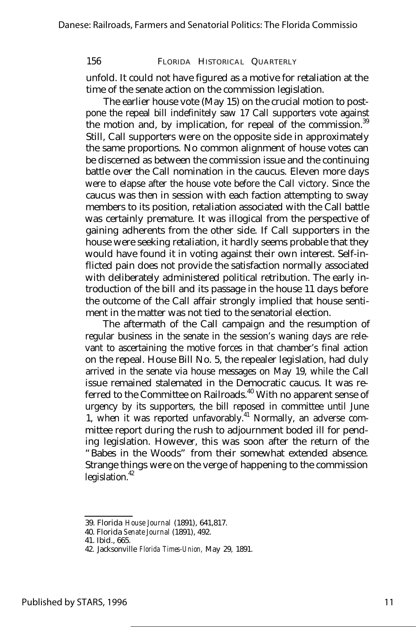unfold. It could not have figured as a motive for retaliation at the time of the senate action on the commission legislation.

The earlier house vote (May 15) on the crucial motion to postpone the repeal bill indefinitely saw 17 Call supporters vote against the motion and, by implication, for repeal of the commission.<sup>39</sup> Still, Call supporters were on the opposite side in approximately the same proportions. No common alignment of house votes can be discerned as between the commission issue and the continuing battle over the Call nomination in the caucus. Eleven more days were to elapse after the house vote before the Call victory. Since the caucus was then in session with each faction attempting to sway members to its position, retaliation associated with the Call battle was certainly premature. It was illogical from the perspective of gaining adherents from the other side. If Call supporters in the house were seeking retaliation, it hardly seems probable that they would have found it in voting against their own interest. Self-inflicted pain does not provide the satisfaction normally associated with deliberately administered political retribution. The early introduction of the bill and its passage in the house 11 days before the outcome of the Call affair strongly implied that house sentiment in the matter was not tied to the senatorial election.

The aftermath of the Call campaign and the resumption of regular business in the senate in the session's waning days are relevant to ascertaining the motive forces in that chamber's final action on the repeal. House Bill No. 5, the repealer legislation, had duly arrived in the senate via house messages on May 19, while the Call issue remained stalemated in the Democratic caucus. It was referred to the Committee on Railroads.<sup>40</sup> With no apparent sense of urgency by its supporters, the bill reposed in committee until June 1, when it was reported unfavorably.<sup>41</sup> Normally, an adverse committee report during the rush to adjournment boded ill for pending legislation. However, this was soon after the return of the "Babes in the Woods" from their somewhat extended absence. Strange things were on the verge of happening to the commission legislation.<sup>42</sup>

<sup>39.</sup> Florida *House Journal* (1891), 641,817.

<sup>40.</sup> Florida *Senate Journal* (1891), 492.

<sup>41.</sup> Ibid., 665.

<sup>42.</sup> Jacksonville *Florida Times-Union,* May 29, 1891.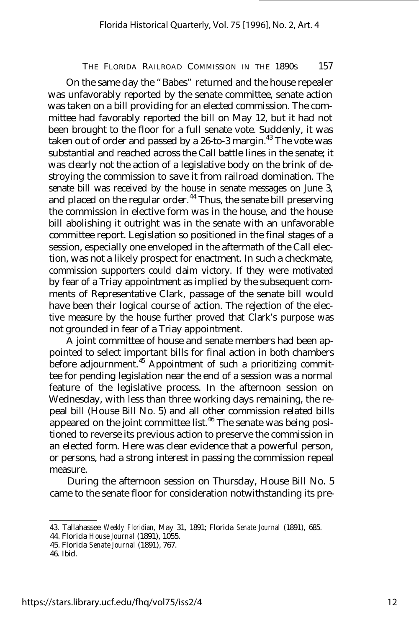On the same day the "Babes" returned and the house repealer was unfavorably reported by the senate committee, senate action was taken on a bill providing for an elected commission. The committee had favorably reported the bill on May 12, but it had not been brought to the floor for a full senate vote. Suddenly, it was taken out of order and passed by a  $26$ -to-3 margin.<sup>43</sup> The vote was substantial and reached across the Call battle lines in the senate; it was clearly not the action of a legislative body on the brink of destroying the commission to save it from railroad domination. The senate bill was received by the house in senate messages on June 3, and placed on the regular order.<sup>44</sup> Thus, the senate bill preserving the commission in elective form was in the house, and the house bill abolishing it outright was in the senate with an unfavorable committee report. Legislation so positioned in the final stages of a session, especially one enveloped in the aftermath of the Call election, was not a likely prospect for enactment. In such a checkmate, commission supporters could claim victory. If they were motivated by fear of a Triay appointment as implied by the subsequent comments of Representative Clark, passage of the senate bill would have been their logical course of action. The rejection of the elective measure by the house further proved that Clark's purpose was not grounded in fear of a Triay appointment.

A joint committee of house and senate members had been appointed to select important bills for final action in both chambers before adjournment.<sup>45</sup> Appointment of such a prioritizing committee for pending legislation near the end of a session was a normal feature of the legislative process. In the afternoon session on Wednesday, with less than three working days remaining, the repeal bill (House Bill No. 5) and all other commission related bills appeared on the joint committee list.<sup>46</sup> The senate was being positioned to reverse its previous action to preserve the commission in an elected form. Here was clear evidence that a powerful person, or persons, had a strong interest in passing the commission repeal measure.

During the afternoon session on Thursday, House Bill No. 5 came to the senate floor for consideration notwithstanding its pre-

<sup>43.</sup> Tallahassee *Weekly Floridian,* May 31, 1891; Florida *Senate Journal* (1891), 685.

<sup>44.</sup> Florida *House Journal* (1891), 1055.

<sup>45.</sup> Florida *Senate Journal* (1891), 767.

<sup>46.</sup> Ibid.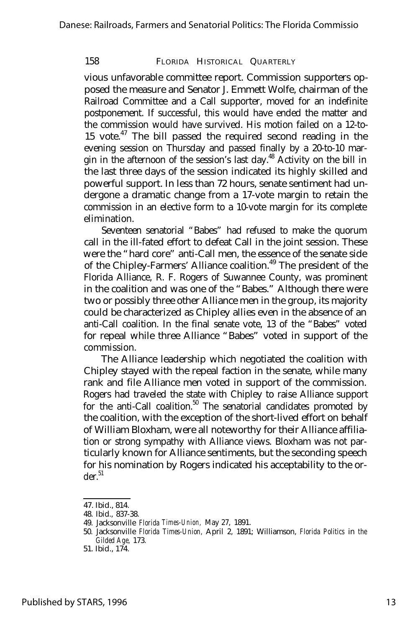vious unfavorable committee report. Commission supporters opposed the measure and Senator J. Emmett Wolfe, chairman of the Railroad Committee and a Call supporter, moved for an indefinite postponement. If successful, this would have ended the matter and the commission would have survived. His motion failed on a 12-to-15 vote. $47$  The bill passed the required second reading in the evening session on Thursday and passed finally by a 20-to-10 margin in the afternoon of the session's last day.<sup>48</sup> Activity on the bill in the last three days of the session indicated its highly skilled and powerful support. In less than 72 hours, senate sentiment had undergone a dramatic change from a 17-vote margin to retain the commission in an elective form to a 10-vote margin for its complete elimination.

Seventeen senatorial "Babes" had refused to make the quorum call in the ill-fated effort to defeat Call in the joint session. These were the "hard core" anti-Call men, the essence of the senate side of the Chipley-Farmers' Alliance coalition.<sup>49</sup> The president of the Florida Alliance, R. F. Rogers of Suwannee County, was prominent in the coalition and was one of the "Babes." Although there were two or possibly three other Alliance men in the group, its majority could be characterized as Chipley allies even in the absence of an anti-Call coalition. In the final senate vote, 13 of the "Babes" voted for repeal while three Alliance "Babes" voted in support of the commission.

The Alliance leadership which negotiated the coalition with Chipley stayed with the repeal faction in the senate, while many rank and file Alliance men voted in support of the commission. Rogers had traveled the state with Chipley to raise Alliance support for the anti-Call coalition.<sup>50</sup> The senatorial candidates promoted by the coalition, with the exception of the short-lived effort on behalf of William Bloxham, were all noteworthy for their Alliance affiliation or strong sympathy with Alliance views. Bloxham was not particularly known for Alliance sentiments, but the seconding speech for his nomination by Rogers indicated his acceptability to the or $der<sup>51</sup>$ 

<sup>47.</sup> Ibid., 814.

<sup>48.</sup> Ibid., 837-38.

<sup>49.</sup> Jacksonville *Florida Times-Union,* May 27, 1891.

<sup>50.</sup> Jacksonville *Florida Times-Union,* April 2, 1891; Williamson, *Florida Politics* in *the Gilded Age,* 173.

<sup>51.</sup> Ibid., 174.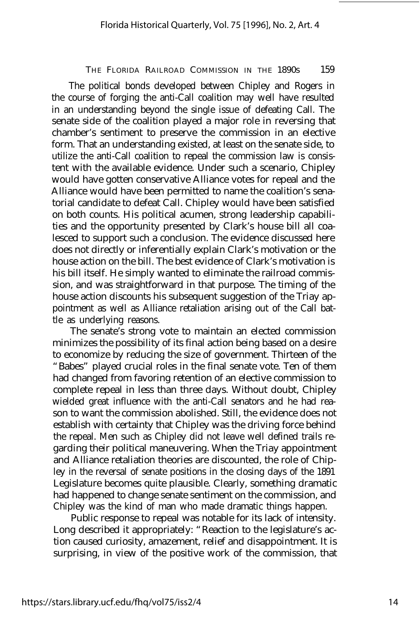The political bonds developed between Chipley and Rogers in the course of forging the anti-Call coalition may well have resulted in an understanding beyond the single issue of defeating Call. The senate side of the coalition played a major role in reversing that chamber's sentiment to preserve the commission in an elective form. That an understanding existed, at least on the senate side, to utilize the anti-Call coalition to repeal the commission law is consistent with the available evidence. Under such a scenario, Chipley would have gotten conservative Alliance votes for repeal and the Alliance would have been permitted to name the coalition's senatorial candidate to defeat Call. Chipley would have been satisfied on both counts. His political acumen, strong leadership capabilities and the opportunity presented by Clark's house bill all coalesced to support such a conclusion. The evidence discussed here does not directly or inferentially explain Clark's motivation or the house action on the bill. The best evidence of Clark's motivation is his bill itself. He simply wanted to eliminate the railroad commission, and was straightforward in that purpose. The timing of the house action discounts his subsequent suggestion of the Triay appointment as well as Alliance retaliation arising out of the Call battle as underlying reasons.

The senate's strong vote to maintain an elected commission minimizes the possibility of its final action being based on a desire to economize by reducing the size of government. Thirteen of the "Babes" played crucial roles in the final senate vote. Ten of them had changed from favoring retention of an elective commission to complete repeal in less than three days. Without doubt, Chipley wielded great influence with the anti-Call senators and he had reason to want the commission abolished. Still, the evidence does not establish with certainty that Chipley was the driving force behind the repeal. Men such as Chipley did not leave well defined trails regarding their political maneuvering. When the Triay appointment and Alliance retaliation theories are discounted, the role of Chipley in the reversal of senate positions in the closing days of the 1891 Legislature becomes quite plausible. Clearly, something dramatic had happened to change senate sentiment on the commission, and Chipley was the kind of man who made dramatic things happen.

Public response to repeal was notable for its lack of intensity. Long described it appropriately: "Reaction to the legislature's action caused curiosity, amazement, relief and disappointment. It is surprising, in view of the positive work of the commission, that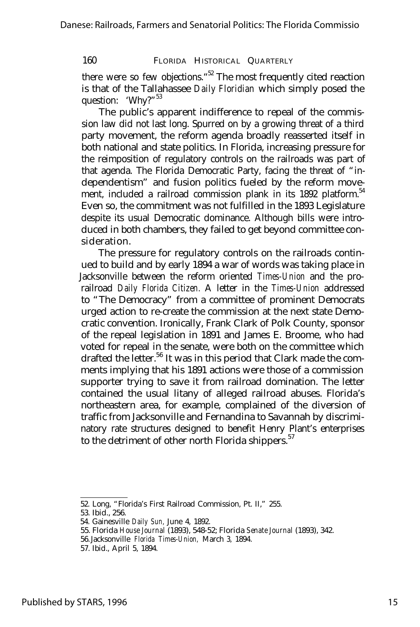there were so few objections."<sup>52</sup> The most frequently cited reaction is that of the Tallahassee *Daily Floridian* which simply posed the question: 'Why?"<sup>53</sup>

The public's apparent indifference to repeal of the commission law did not last long. Spurred on by a growing threat of a third party movement, the reform agenda broadly reasserted itself in both national and state politics. In Florida, increasing pressure for the reimposition of regulatory controls on the railroads was part of that agenda. The Florida Democratic Party, facing the threat of "independentism" and fusion politics fueled by the reform movement, included a railroad commission plank in its 1892 platform.<sup>54</sup> Even so, the commitment was not fulfilled in the 1893 Legislature despite its usual Democratic dominance. Although bills were introduced in both chambers, they failed to get beyond committee consideration.

The pressure for regulatory controls on the railroads continued to build and by early 1894 a war of words was taking place in Jacksonville between the reform oriented *Times-Union* and the prorailroad *Daily Florida Citizen.* A letter in the *Times-Union* addressed to "The Democracy" from a committee of prominent Democrats urged action to re-create the commission at the next state Democratic convention. Ironically, Frank Clark of Polk County, sponsor of the repeal legislation in 1891 and James E. Broome, who had voted for repeal in the senate, were both on the committee which drafted the letter.<sup>56</sup> It was in this period that Clark made the comments implying that his 1891 actions were those of a commission supporter trying to save it from railroad domination. The letter contained the usual litany of alleged railroad abuses. Florida's northeastern area, for example, complained of the diversion of traffic from Jacksonville and Fernandina to Savannah by discriminatory rate structures designed to benefit Henry Plant's enterprises to the detriment of other north Florida shippers.<sup>57</sup>

52. Long, "Florida's First Railroad Commission, Pt. II," 255.

<sup>53.</sup> Ibid., 256.

<sup>54.</sup> Gainesville *Daily Sun,* June 4, 1892.

<sup>55.</sup> Florida *House Journal* (1893), 548-52; Florida *Senate Journal* (1893), 342.

<sup>56.</sup>Jacksonville *Florida Times-Union,* March 3, 1894.

<sup>57.</sup> Ibid., April 5, 1894.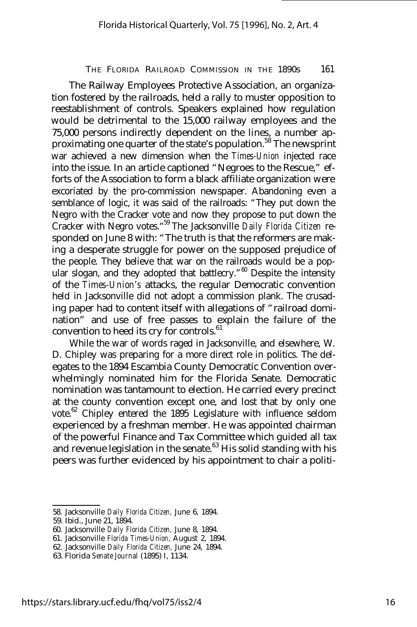The Railway Employees Protective Association, an organization fostered by the railroads, held a rally to muster opposition to reestablishment of controls. Speakers explained how regulation would be detrimental to the 15,000 railway employees and the 75,000 persons indirectly dependent on the lines, a number approximating one quarter of the state's population.<sup>58</sup> The newsprint war achieved a new dimension when the *Times-Union* injected race into the issue. In an article captioned "Negroes to the Rescue," efforts of the Association to form a black affiliate organization were excoriated by the pro-commission newspaper. Abandoning even a semblance of logic, it was said of the railroads: "They put down the Negro with the Cracker vote and now they propose to put down the Cracker with Negro votes." <sup>59</sup> The Jacksonville *Daily Florida Citizen* responded on June 8 with: "The truth is that the reformers are making a desperate struggle for power on the supposed prejudice of the people. They believe that war on the railroads would be a popular slogan, and they adopted that battlecry." $60$  Despite the intensity of the *Times-Union's* attacks, the regular Democratic convention held in Jacksonville did not adopt a commission plank. The crusading paper had to content itself with allegations of "railroad domination" and use of free passes to explain the failure of the convention to heed its cry for controls.<sup>61</sup>

While the war of words raged in Jacksonville, and elsewhere, W. D. Chipley was preparing for a more direct role in politics. The delegates to the 1894 Escambia County Democratic Convention overwhelmingly nominated him for the Florida Senate. Democratic nomination was tantamount to election. He carried every precinct at the county convention except one, and lost that by only one vote.<sup>62</sup> Chipley entered the 1895 Legislature with influence seldom experienced by a freshman member. He was appointed chairman of the powerful Finance and Tax Committee which guided all tax and revenue legislation in the senate.<sup>63</sup> His solid standing with his peers was further evidenced by his appointment to chair a politi-

<sup>58.</sup> Jacksonville *Daily Florida Citizen,* June 6, 1894.

<sup>59.</sup> Ibid., June 21, 1894.

<sup>60.</sup> Jacksonville *Daily Florida Citizen,* June 8, 1894.

<sup>61.</sup> Jacksonville *Florida Times-Union,* August 2, 1894.

<sup>62.</sup> Jacksonville *Daily Florida Citizen,* June 24, 1894.

<sup>63.</sup> Florida *Senate Journal* (1895) I, 1134.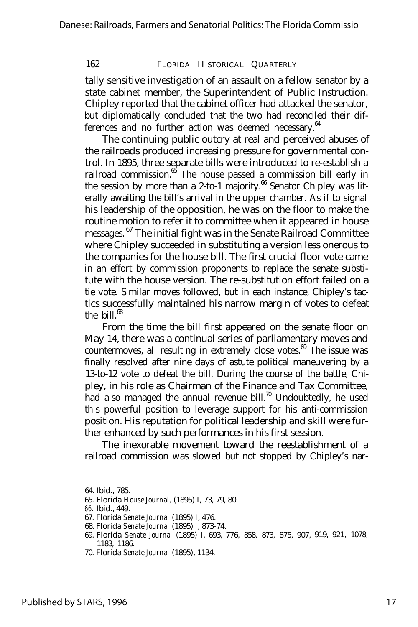tally sensitive investigation of an assault on a fellow senator by a state cabinet member, the Superintendent of Public Instruction. Chipley reported that the cabinet officer had attacked the senator, but diplomatically concluded that the two had reconciled their differences and no further action was deemed necessary. $64$ 

The continuing public outcry at real and perceived abuses of the railroads produced increasing pressure for governmental control. In 1895, three separate bills were introduced to re-establish a railroad commission.<sup>65</sup> The house passed a commission bill early in the session by more than a 2-to-1 majority.<sup>66</sup> Senator Chipley was literally awaiting the bill's arrival in the upper chamber. As if to signal his leadership of the opposition, he was on the floor to make the routine motion to refer it to committee when it appeared in house messages. <sup>67</sup> The initial fight was in the Senate Railroad Committee where Chipley succeeded in substituting a version less onerous to the companies for the house bill. The first crucial floor vote came in an effort by commission proponents to replace the senate substitute with the house version. The re-substitution effort failed on a tie vote. Similar moves followed, but in each instance, Chipley's tactics successfully maintained his narrow margin of votes to defeat the bill. $68$ 

From the time the bill first appeared on the senate floor on May 14, there was a continual series of parliamentary moves and countermoves, all resulting in extremely close votes.<sup>69</sup> The issue was finally resolved after nine days of astute political maneuvering by a 13-to-12 vote to defeat the bill. During the course of the battle, Chipley, in his role as Chairman of the Finance and Tax Committee, had also managed the annual revenue bill.<sup>70</sup> Undoubtedly, he used this powerful position to leverage support for his anti-commission position. His reputation for political leadership and skill were further enhanced by such performances in his first session.

The inexorable movement toward the reestablishment of a railroad commission was slowed but not stopped by Chipley's nar-

<sup>64.</sup> Ibid., 785.

<sup>65.</sup> Florida *House Journal,* (1895) I, 73, 79, 80.

*<sup>66.</sup>* Ibid., 449.

<sup>67.</sup> Florida *Senate Journal* (1895) I, 476.

<sup>68.</sup> Florida *Senate Journal* (1895) I, 873-74.

<sup>69.</sup> Florida *Senate Journal* (1895) I, 693, 776, 858, 873, 875, 907, 919, 921, 1078, 1183, 1186.

<sup>70.</sup> Florida *Senate Journal* (1895), 1134.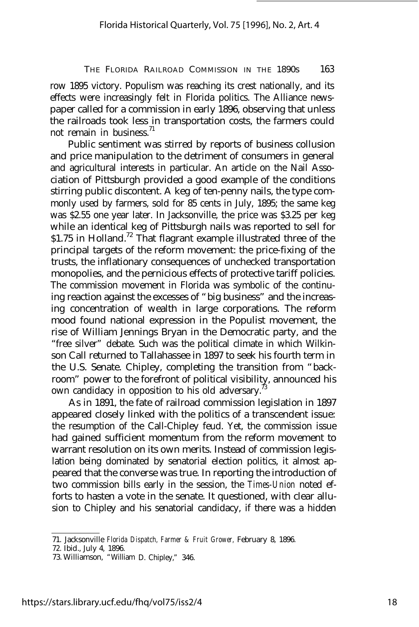row 1895 victory. Populism was reaching its crest nationally, and its effects were increasingly felt in Florida politics. The Alliance newspaper called for a commission in early 1896, observing that unless the railroads took less in transportation costs, the farmers could not remain in business.<sup>71</sup>

Public sentiment was stirred by reports of business collusion and price manipulation to the detriment of consumers in general and agricultural interests in particular. An article on the Nail Association of Pittsburgh provided a good example of the conditions stirring public discontent. A keg of ten-penny nails, the type commonly used by farmers, sold for 85 cents in July, 1895; the same keg was \$2.55 one year later. In Jacksonville, the price was \$3.25 per keg while an identical keg of Pittsburgh nails was reported to sell for  $$1.75$  in Holland.<sup>72</sup> That flagrant example illustrated three of the principal targets of the reform movement: the price-fixing of the trusts, the inflationary consequences of unchecked transportation monopolies, and the pernicious effects of protective tariff policies. The commission movement in Florida was symbolic of the continuing reaction against the excesses of "big business" and the increasing concentration of wealth in large corporations. The reform mood found national expression in the Populist movement, the rise of William Jennings Bryan in the Democratic party, and the "free silver" debate. Such was the political climate in which Wilkinson Call returned to Tallahassee in 1897 to seek his fourth term in the U.S. Senate. Chipley, completing the transition from "backroom" power to the forefront of political visibility, announced his own candidacy in opposition to his old adversary.<sup>73</sup>

As in 1891, the fate of railroad commission legislation in 1897 appeared closely linked with the politics of a transcendent issue: the resumption of the Call-Chipley feud. Yet, the commission issue had gained sufficient momentum from the reform movement to warrant resolution on its own merits. Instead of commission legislation being dominated by senatorial election politics, it almost appeared that the converse was true. In reporting the introduction of two commission bills early in the session, the *Times-Union* noted efforts to hasten a vote in the senate. It questioned, with clear allusion to Chipley and his senatorial candidacy, if there was a hidden

<sup>71.</sup> Jacksonville *Florida Dispatch, Farmer & Fruit Grower,* February 8, 1896.

<sup>72.</sup> Ibid., July 4, 1896.

<sup>73.</sup> Williamson, "William D. Chipley," 346.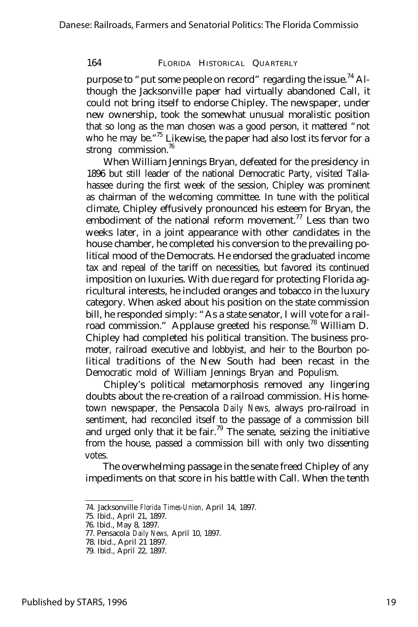purpose to "put some people on record" regarding the issue.<sup>74</sup> Although the Jacksonville paper had virtually abandoned Call, it could not bring itself to endorse Chipley. The newspaper, under new ownership, took the somewhat unusual moralistic position that so long as the man chosen was a good person, it mattered "not who he may be.<sup>"75</sup> Likewise, the paper had also lost its fervor for a strong commission.<sup>76</sup>

When William Jennings Bryan, defeated for the presidency in 1896 but still leader of the national Democratic Party, visited Tallahassee during the first week of the session, Chipley was prominent as chairman of the welcoming committee. In tune with the political climate, Chipley effusively pronounced his esteem for Bryan, the embodiment of the national reform movement.<sup>77</sup> Less than two weeks later, in a joint appearance with other candidates in the house chamber, he completed his conversion to the prevailing political mood of the Democrats. He endorsed the graduated income tax and repeal of the tariff on necessities, but favored its continued imposition on luxuries. With due regard for protecting Florida agricultural interests, he included oranges and tobacco in the luxury category. When asked about his position on the state commission bill, he responded simply: "As a state senator, I will vote for a railroad commission." Applause greeted his response.<sup>78</sup> William D. Chipley had completed his political transition. The business promoter, railroad executive and lobbyist, and heir to the Bourbon political traditions of the New South had been recast in the Democratic mold of William Jennings Bryan and Populism.

Chipley's political metamorphosis removed any lingering doubts about the re-creation of a railroad commission. His hometown newspaper, the Pensacola *Daily News,* always pro-railroad in sentiment, had reconciled itself to the passage of a commission bill and urged only that it be fair.<sup>79</sup> The senate, seizing the initiative from the house, passed a commission bill with only two dissenting votes.

The overwhelming passage in the senate freed Chipley of any impediments on that score in his battle with Call. When the tenth

<sup>74.</sup> Jacksonville *Florida Times-Union,* April 14, 1897.

<sup>75.</sup> Ibid., April 21, 1897.

<sup>76.</sup> Ibid., May 8, 1897.

<sup>77.</sup> Pensacola *Daily News,* April 10, 1897.

<sup>78.</sup> Ibid., April 21 1897.

<sup>79.</sup> Ibid., April 22, 1897.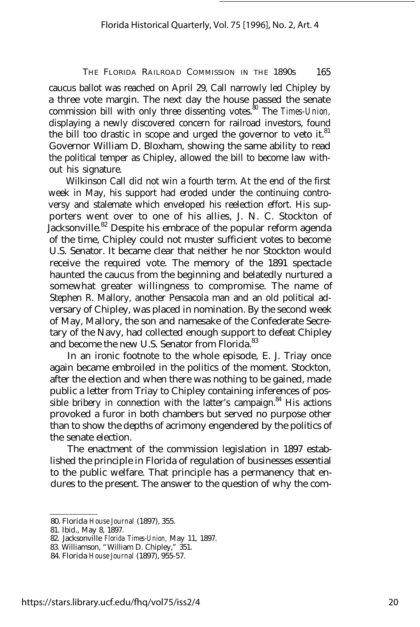caucus ballot was reached on April 29, Call narrowly led Chipley by a three vote margin. The next day the house passed the senate commission bill with only three dissenting votes.<sup>80</sup> The *Times-Union*, displaying a newly discovered concern for railroad investors, found the bill too drastic in scope and urged the governor to veto it. $81$ Governor William D. Bloxham, showing the same ability to read the political temper as Chipley, allowed the bill to become law without his signature.

Wilkinson Call did not win a fourth term. At the end of the first week in May, his support had eroded under the continuing controversy and stalemate which enveloped his reelection effort. His supporters went over to one of his allies, J. N. C. Stockton of Jacksonville.<sup>82</sup> Despite his embrace of the popular reform agenda of the time, Chipley could not muster sufficient votes to become U.S. Senator. It became clear that neither he nor Stockton would receive the required vote. The memory of the 1891 spectacle haunted the caucus from the beginning and belatedly nurtured a somewhat greater willingness to compromise. The name of Stephen R. Mallory, another Pensacola man and an old political adversary of Chipley, was placed in nomination. By the second week of May, Mallory, the son and namesake of the Confederate Secretary of the Navy, had collected enough support to defeat Chipley and become the new U.S. Senator from Florida.<sup>83</sup>

In an ironic footnote to the whole episode, E. J. Triay once again became embroiled in the politics of the moment. Stockton, after the election and when there was nothing to be gained, made public a letter from Triay to Chipley containing inferences of possible bribery in connection with the latter's campaign. $84$  His actions provoked a furor in both chambers but served no purpose other than to show the depths of acrimony engendered by the politics of the senate election.

The enactment of the commission legislation in 1897 established the principle in Florida of regulation of businesses essential to the public welfare. That principle has a permanency that endures to the present. The answer to the question of why the com-

<sup>80.</sup> Florida *House Journal* (1897), 355.

<sup>81.</sup> Ibid., May 8, 1897.

<sup>82.</sup> Jacksonville *Florida Times-Union,* May 11, 1897.

<sup>83.</sup> Williamson, "William D. Chipley," 351.

<sup>84.</sup> Florida *House Journal* (1897), 955-57.